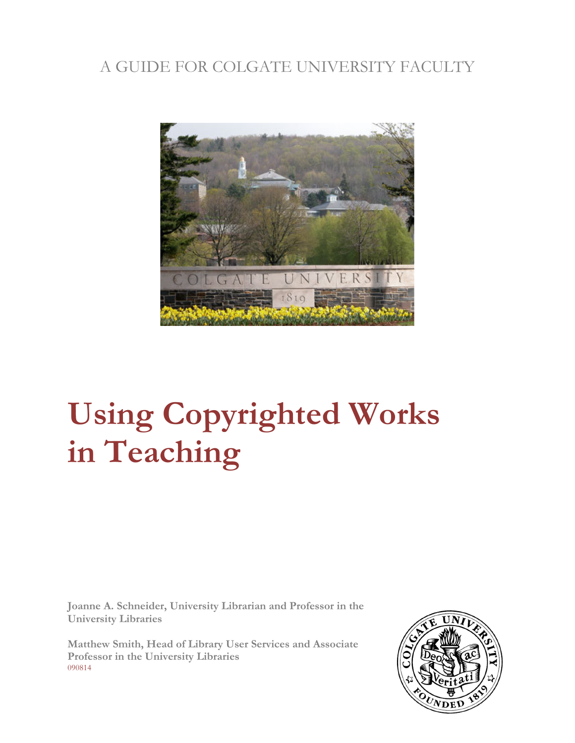# A GUIDE FOR COLGATE UNIVERSITY FACULTY



# **Using Copyrighted Works in Teaching**

**Joanne A. Schneider, University Librarian and Professor in the University Libraries**

**Matthew Smith, Head of Library User Services and Associate Professor in the University Libraries** 090814

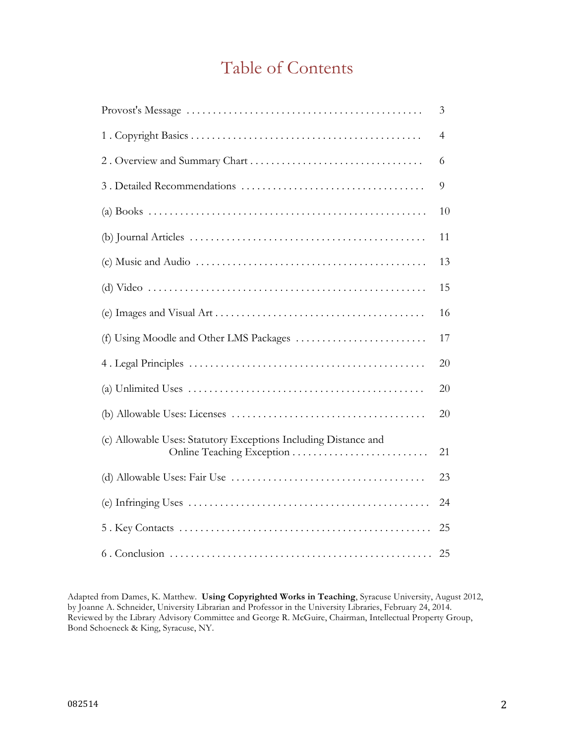# Table of Contents

|                                                                                                       | 3              |
|-------------------------------------------------------------------------------------------------------|----------------|
|                                                                                                       | $\overline{4}$ |
|                                                                                                       | 6              |
|                                                                                                       | 9              |
|                                                                                                       | 10             |
|                                                                                                       | 11             |
| $(c)$ Music and Audio $\dots \dots \dots \dots \dots \dots \dots \dots \dots \dots \dots \dots \dots$ | 13             |
|                                                                                                       | 15             |
|                                                                                                       | 16             |
|                                                                                                       | 17             |
|                                                                                                       | 20             |
|                                                                                                       | 20             |
|                                                                                                       | 20             |
| (c) Allowable Uses: Statutory Exceptions Including Distance and<br>Online Teaching Exception          | 21             |
|                                                                                                       | 23             |
|                                                                                                       | 24             |
|                                                                                                       | 25             |
|                                                                                                       | 25             |

Adapted from Dames, K. Matthew. **Using Copyrighted Works in Teaching**, Syracuse University, August 2012, by Joanne A. Schneider, University Librarian and Professor in the University Libraries, February 24, 2014. Reviewed by the Library Advisory Committee and George R. McGuire, Chairman, Intellectual Property Group, Bond Schoeneck & King, Syracuse, NY.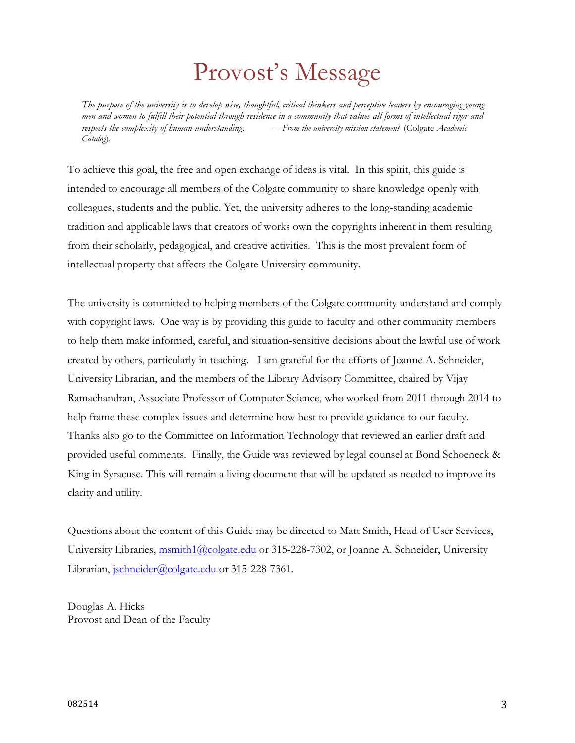# Provost's Message

*The purpose of the university is to develop wise, thoughtful, critical thinkers and perceptive leaders by encouraging young men and women to fulfill their potential through residence in a community that values all forms of intellectual rigor and respects the complexity of human understanding*. *— From the university mission statement* (Colgate *Academic Catalog*).

To achieve this goal, the free and open exchange of ideas is vital. In this spirit, this guide is intended to encourage all members of the Colgate community to share knowledge openly with colleagues, students and the public. Yet, the university adheres to the long-standing academic tradition and applicable laws that creators of works own the copyrights inherent in them resulting from their scholarly, pedagogical, and creative activities. This is the most prevalent form of intellectual property that affects the Colgate University community.

The university is committed to helping members of the Colgate community understand and comply with copyright laws. One way is by providing this guide to faculty and other community members to help them make informed, careful, and situation-sensitive decisions about the lawful use of work created by others, particularly in teaching. I am grateful for the efforts of Joanne A. Schneider, University Librarian, and the members of the Library Advisory Committee, chaired by Vijay Ramachandran, Associate Professor of Computer Science, who worked from 2011 through 2014 to help frame these complex issues and determine how best to provide guidance to our faculty. Thanks also go to the Committee on Information Technology that reviewed an earlier draft and provided useful comments. Finally, the Guide was reviewed by legal counsel at Bond Schoeneck & King in Syracuse. This will remain a living document that will be updated as needed to improve its clarity and utility.

Questions about the content of this Guide may be directed to Matt Smith, Head of User Services, University Libraries, msmith1@colgate.edu or 315-228-7302, or Joanne A. Schneider, University Librarian, jschneider@colgate.edu or 315-228-7361.

Douglas A. Hicks Provost and Dean of the Faculty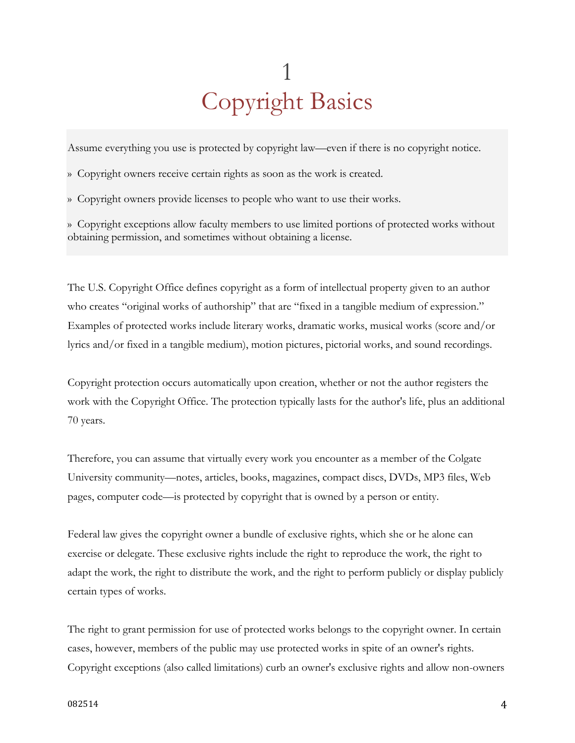# 1 Copyright Basics

Assume everything you use is protected by copyright law—even if there is no copyright notice.

» Copyright owners receive certain rights as soon as the work is created.

» Copyright owners provide licenses to people who want to use their works.

» Copyright exceptions allow faculty members to use limited portions of protected works without obtaining permission, and sometimes without obtaining a license.

The U.S. Copyright Office defines copyright as a form of intellectual property given to an author who creates "original works of authorship" that are "fixed in a tangible medium of expression." Examples of protected works include literary works, dramatic works, musical works (score and/or lyrics and/or fixed in a tangible medium), motion pictures, pictorial works, and sound recordings.

Copyright protection occurs automatically upon creation, whether or not the author registers the work with the Copyright Office. The protection typically lasts for the author's life, plus an additional 70 years.

Therefore, you can assume that virtually every work you encounter as a member of the Colgate University community—notes, articles, books, magazines, compact discs, DVDs, MP3 files, Web pages, computer code—is protected by copyright that is owned by a person or entity.

Federal law gives the copyright owner a bundle of exclusive rights, which she or he alone can exercise or delegate. These exclusive rights include the right to reproduce the work, the right to adapt the work, the right to distribute the work, and the right to perform publicly or display publicly certain types of works.

The right to grant permission for use of protected works belongs to the copyright owner. In certain cases, however, members of the public may use protected works in spite of an owner's rights. Copyright exceptions (also called limitations) curb an owner's exclusive rights and allow non-owners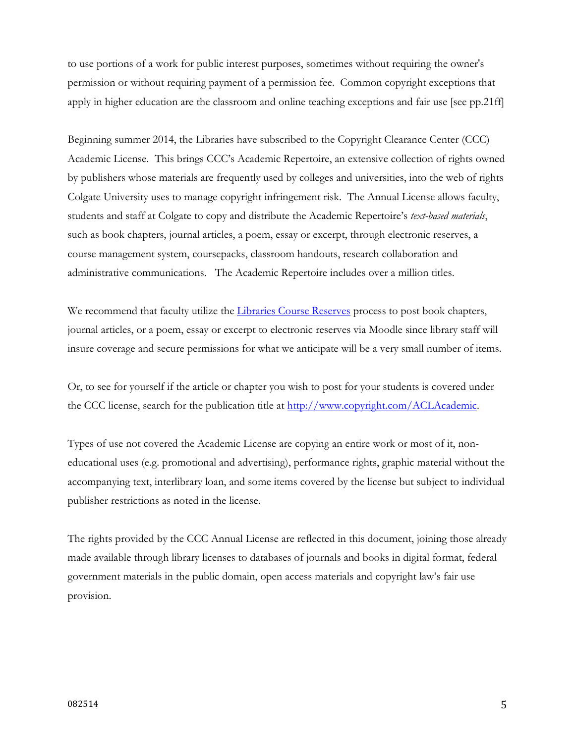to use portions of a work for public interest purposes, sometimes without requiring the owner's permission or without requiring payment of a permission fee. Common copyright exceptions that apply in higher education are the classroom and online teaching exceptions and fair use [see pp.21ff]

Beginning summer 2014, the Libraries have subscribed to the Copyright Clearance Center (CCC) Academic License. This brings CCC's Academic Repertoire, an extensive collection of rights owned by publishers whose materials are frequently used by colleges and universities, into the web of rights Colgate University uses to manage copyright infringement risk. The Annual License allows faculty, students and staff at Colgate to copy and distribute the Academic Repertoire's *text-based materials*, such as book chapters, journal articles, a poem, essay or excerpt, through electronic reserves, a course management system, coursepacks, classroom handouts, research collaboration and administrative communications. The Academic Repertoire includes over a million titles.

We recommend that faculty utilize the Libraries Course Reserves process to post book chapters, journal articles, or a poem, essay or excerpt to electronic reserves via Moodle since library staff will insure coverage and secure permissions for what we anticipate will be a very small number of items.

Or, to see for yourself if the article or chapter you wish to post for your students is covered under the CCC license, search for the publication title at http://www.copyright.com/ACLAcademic.

Types of use not covered the Academic License are copying an entire work or most of it, noneducational uses (e.g. promotional and advertising), performance rights, graphic material without the accompanying text, interlibrary loan, and some items covered by the license but subject to individual publisher restrictions as noted in the license.

The rights provided by the CCC Annual License are reflected in this document, joining those already made available through library licenses to databases of journals and books in digital format, federal government materials in the public domain, open access materials and copyright law's fair use provision.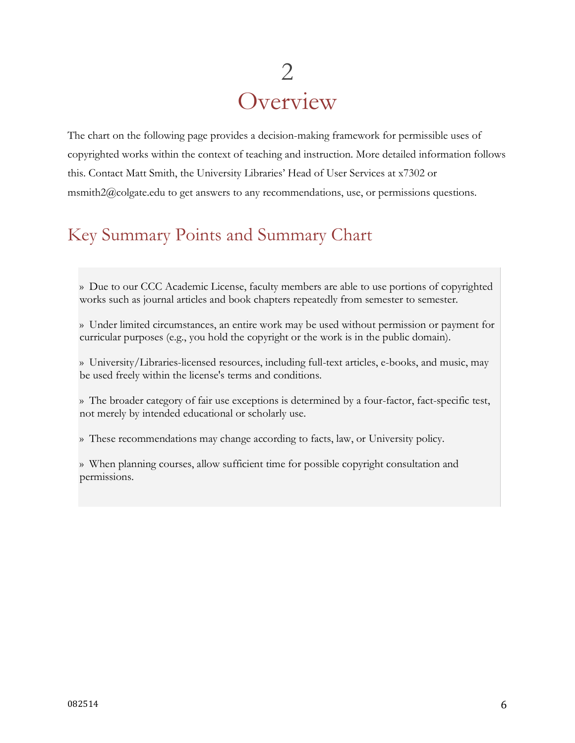# 2 **Overview**

The chart on the following page provides a decision-making framework for permissible uses of copyrighted works within the context of teaching and instruction. More detailed information follows this. Contact Matt Smith, the University Libraries' Head of User Services at x7302 or msmith2@colgate.edu to get answers to any recommendations, use, or permissions questions.

# Key Summary Points and Summary Chart

» Due to our CCC Academic License, faculty members are able to use portions of copyrighted works such as journal articles and book chapters repeatedly from semester to semester.

» Under limited circumstances, an entire work may be used without permission or payment for curricular purposes (e.g., you hold the copyright or the work is in the public domain).

» University/Libraries-licensed resources, including full-text articles, e-books, and music, may be used freely within the license's terms and conditions.

» The broader category of fair use exceptions is determined by a four-factor, fact-specific test, not merely by intended educational or scholarly use.

» These recommendations may change according to facts, law, or University policy.

» When planning courses, allow sufficient time for possible copyright consultation and permissions.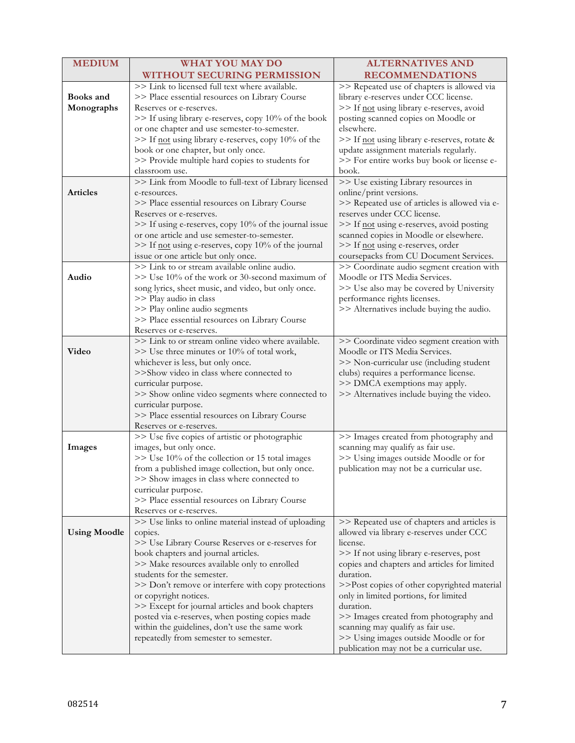| <b>MEDIUM</b>                  | <b>WHAT YOU MAY DO</b>                                                                                                                                                                                                                                                                                                                                                                                                                                                                                                    | <b>ALTERNATIVES AND</b>                                                                                                                                                                                                                                                                                                                                                                                                                                                               |
|--------------------------------|---------------------------------------------------------------------------------------------------------------------------------------------------------------------------------------------------------------------------------------------------------------------------------------------------------------------------------------------------------------------------------------------------------------------------------------------------------------------------------------------------------------------------|---------------------------------------------------------------------------------------------------------------------------------------------------------------------------------------------------------------------------------------------------------------------------------------------------------------------------------------------------------------------------------------------------------------------------------------------------------------------------------------|
|                                | WITHOUT SECURING PERMISSION                                                                                                                                                                                                                                                                                                                                                                                                                                                                                               | <b>RECOMMENDATIONS</b>                                                                                                                                                                                                                                                                                                                                                                                                                                                                |
| <b>Books</b> and<br>Monographs | >> Link to licensed full text where available.<br>>> Place essential resources on Library Course<br>Reserves or e-reserves.<br>>> If using library e-reserves, copy 10% of the book<br>or one chapter and use semester-to-semester.<br>>> If not using library e-reserves, copy 10% of the<br>book or one chapter, but only once.<br>>> Provide multiple hard copies to students for<br>classroom use.                                                                                                                    | >> Repeated use of chapters is allowed via<br>library e-reserves under CCC license.<br>>> If not using library e-reserves, avoid<br>posting scanned copies on Moodle or<br>elsewhere.<br>>> If not using library e-reserves, rotate &<br>update assignment materials regularly.<br>>> For entire works buy book or license e-<br>book.                                                                                                                                                |
| <b>Articles</b>                | >> Link from Moodle to full-text of Library licensed<br>e-resources.<br>>> Place essential resources on Library Course<br>Reserves or e-reserves.<br>>> If using e-reserves, copy 10% of the journal issue<br>or one article and use semester-to-semester.<br>>> If not using e-reserves, copy 10% of the journal<br>issue or one article but only once.                                                                                                                                                                  | >> Use existing Library resources in<br>online/print versions.<br>>> Repeated use of articles is allowed via e-<br>reserves under CCC license.<br>>> If not using e-reserves, avoid posting<br>scanned copies in Moodle or elsewhere.<br>>> If not using e-reserves, order<br>coursepacks from CU Document Services.                                                                                                                                                                  |
| Audio                          | >> Link to or stream available online audio.<br>>> Use 10% of the work or 30-second maximum of<br>song lyrics, sheet music, and video, but only once.<br>>> Play audio in class<br>>> Play online audio segments<br>>> Place essential resources on Library Course<br>Reserves or e-reserves.                                                                                                                                                                                                                             | >> Coordinate audio segment creation with<br>Moodle or ITS Media Services.<br>>> Use also may be covered by University<br>performance rights licenses.<br>>> Alternatives include buying the audio.                                                                                                                                                                                                                                                                                   |
| Video                          | >> Link to or stream online video where available.<br>>> Use three minutes or 10% of total work,<br>whichever is less, but only once.<br>>>Show video in class where connected to<br>curricular purpose.<br>>> Show online video segments where connected to<br>curricular purpose.<br>>> Place essential resources on Library Course<br>Reserves or e-reserves.                                                                                                                                                          | >> Coordinate video segment creation with<br>Moodle or ITS Media Services.<br>>> Non-curricular use (including student<br>clubs) requires a performance license.<br>>> DMCA exemptions may apply.<br>>> Alternatives include buying the video.                                                                                                                                                                                                                                        |
| Images                         | >> Use five copies of artistic or photographic<br>images, but only once.<br>>> Use 10% of the collection or 15 total images<br>from a published image collection, but only once.<br>>> Show images in class where connected to<br>curricular purpose.<br>>> Place essential resources on Library Course<br>Reserves or e-reserves.                                                                                                                                                                                        | >> Images created from photography and<br>scanning may qualify as fair use.<br>>> Using images outside Moodle or for<br>publication may not be a curricular use.                                                                                                                                                                                                                                                                                                                      |
| <b>Using Moodle</b>            | >> Use links to online material instead of uploading<br>copies.<br>>> Use Library Course Reserves or e-reserves for<br>book chapters and journal articles.<br>>> Make resources available only to enrolled<br>students for the semester.<br>>> Don't remove or interfere with copy protections<br>or copyright notices.<br>>> Except for journal articles and book chapters<br>posted via e-reserves, when posting copies made<br>within the guidelines, don't use the same work<br>repeatedly from semester to semester. | >> Repeated use of chapters and articles is<br>allowed via library e-reserves under CCC<br>license.<br>>> If not using library e-reserves, post<br>copies and chapters and articles for limited<br>duration.<br>>>Post copies of other copyrighted material<br>only in limited portions, for limited<br>duration.<br>>> Images created from photography and<br>scanning may qualify as fair use.<br>>> Using images outside Moodle or for<br>publication may not be a curricular use. |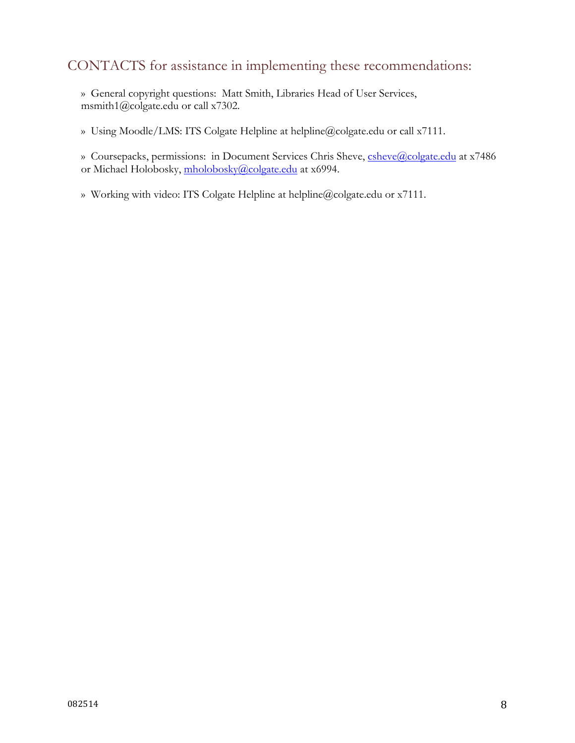#### CONTACTS for assistance in implementing these recommendations:

» General copyright questions: Matt Smith, Libraries Head of User Services, msmith1@colgate.edu or call x7302.

» Using Moodle/LMS: ITS Colgate Helpline at helpline@colgate.edu or call x7111.

» Coursepacks, permissions: in Document Services Chris Sheve, csheve@colgate.edu at x7486 or Michael Holobosky, mholobosky@colgate.edu at x6994.

» Working with video: ITS Colgate Helpline at helpline@colgate.edu or x7111.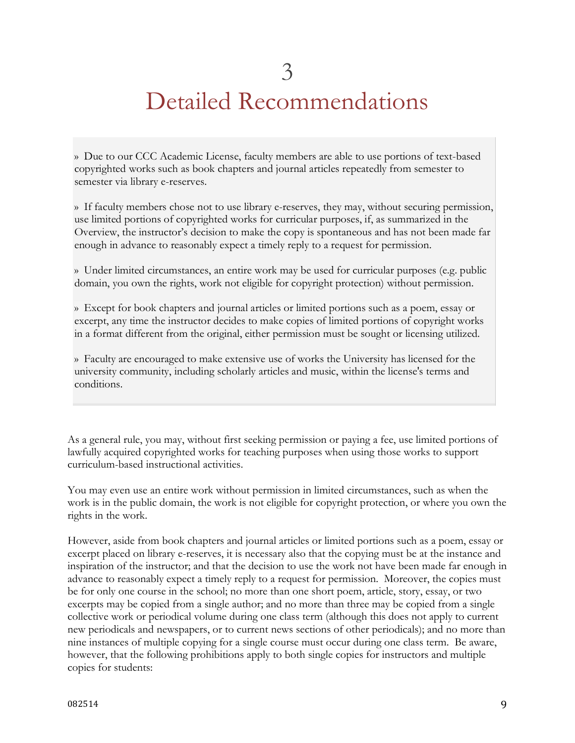# Detailed Recommendations

» Due to our CCC Academic License, faculty members are able to use portions of text-based copyrighted works such as book chapters and journal articles repeatedly from semester to semester via library e-reserves.

» If faculty members chose not to use library e-reserves, they may, without securing permission, use limited portions of copyrighted works for curricular purposes, if, as summarized in the Overview, the instructor's decision to make the copy is spontaneous and has not been made far enough in advance to reasonably expect a timely reply to a request for permission.

» Under limited circumstances, an entire work may be used for curricular purposes (e.g. public domain, you own the rights, work not eligible for copyright protection) without permission.

» Except for book chapters and journal articles or limited portions such as a poem, essay or excerpt, any time the instructor decides to make copies of limited portions of copyright works in a format different from the original, either permission must be sought or licensing utilized.

» Faculty are encouraged to make extensive use of works the University has licensed for the university community, including scholarly articles and music, within the license's terms and conditions.

As a general rule, you may, without first seeking permission or paying a fee, use limited portions of lawfully acquired copyrighted works for teaching purposes when using those works to support curriculum-based instructional activities.

You may even use an entire work without permission in limited circumstances, such as when the work is in the public domain, the work is not eligible for copyright protection, or where you own the rights in the work.

However, aside from book chapters and journal articles or limited portions such as a poem, essay or excerpt placed on library e-reserves, it is necessary also that the copying must be at the instance and inspiration of the instructor; and that the decision to use the work not have been made far enough in advance to reasonably expect a timely reply to a request for permission. Moreover, the copies must be for only one course in the school; no more than one short poem, article, story, essay, or two excerpts may be copied from a single author; and no more than three may be copied from a single collective work or periodical volume during one class term (although this does not apply to current new periodicals and newspapers, or to current news sections of other periodicals); and no more than nine instances of multiple copying for a single course must occur during one class term. Be aware, however, that the following prohibitions apply to both single copies for instructors and multiple copies for students: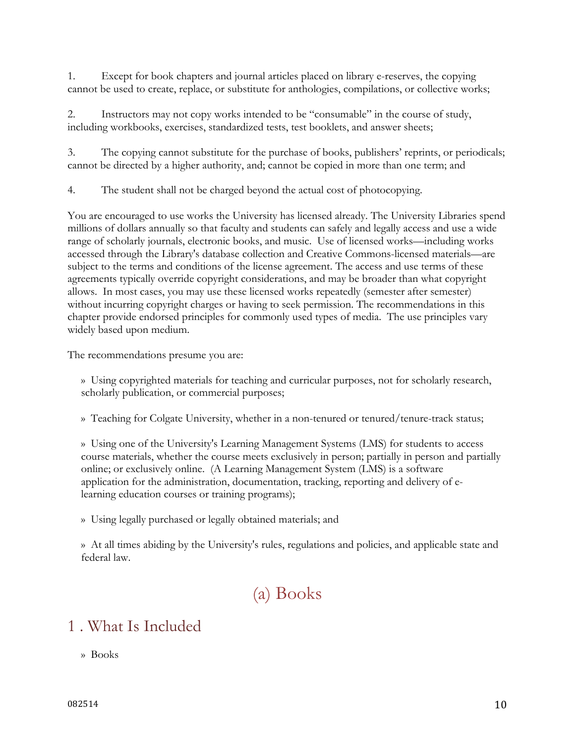1. Except for book chapters and journal articles placed on library e-reserves, the copying cannot be used to create, replace, or substitute for anthologies, compilations, or collective works;

2. Instructors may not copy works intended to be "consumable" in the course of study, including workbooks, exercises, standardized tests, test booklets, and answer sheets;

3. The copying cannot substitute for the purchase of books, publishers' reprints, or periodicals; cannot be directed by a higher authority, and; cannot be copied in more than one term; and

4. The student shall not be charged beyond the actual cost of photocopying.

You are encouraged to use works the University has licensed already. The University Libraries spend millions of dollars annually so that faculty and students can safely and legally access and use a wide range of scholarly journals, electronic books, and music. Use of licensed works—including works accessed through the Library's database collection and Creative Commons-licensed materials—are subject to the terms and conditions of the license agreement. The access and use terms of these agreements typically override copyright considerations, and may be broader than what copyright allows. In most cases, you may use these licensed works repeatedly (semester after semester) without incurring copyright charges or having to seek permission. The recommendations in this chapter provide endorsed principles for commonly used types of media. The use principles vary widely based upon medium.

The recommendations presume you are:

» Using copyrighted materials for teaching and curricular purposes, not for scholarly research, scholarly publication, or commercial purposes;

» Teaching for Colgate University, whether in a non-tenured or tenured/tenure-track status;

» Using one of the University's Learning Management Systems (LMS) for students to access course materials, whether the course meets exclusively in person; partially in person and partially online; or exclusively online. (A Learning Management System (LMS) is a software application for the administration, documentation, tracking, reporting and delivery of elearning education courses or training programs);

» Using legally purchased or legally obtained materials; and

» At all times abiding by the University's rules, regulations and policies, and applicable state and federal law.

# (a) Books

#### 1 . What Is Included

» Books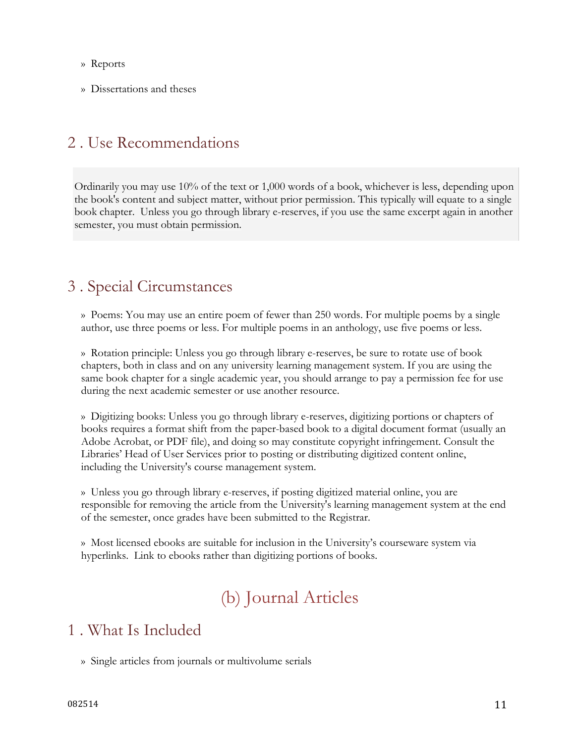- » Reports
- » Dissertations and theses

#### 2 . Use Recommendations

Ordinarily you may use 10% of the text or 1,000 words of a book, whichever is less, depending upon the book's content and subject matter, without prior permission. This typically will equate to a single book chapter. Unless you go through library e-reserves, if you use the same excerpt again in another semester, you must obtain permission.

#### 3 . Special Circumstances

» Poems: You may use an entire poem of fewer than 250 words. For multiple poems by a single author, use three poems or less. For multiple poems in an anthology, use five poems or less.

» Rotation principle: Unless you go through library e-reserves, be sure to rotate use of book chapters, both in class and on any university learning management system. If you are using the same book chapter for a single academic year, you should arrange to pay a permission fee for use during the next academic semester or use another resource.

» Digitizing books: Unless you go through library e-reserves, digitizing portions or chapters of books requires a format shift from the paper-based book to a digital document format (usually an Adobe Acrobat, or PDF file), and doing so may constitute copyright infringement. Consult the Libraries' Head of User Services prior to posting or distributing digitized content online, including the University's course management system.

» Unless you go through library e-reserves, if posting digitized material online, you are responsible for removing the article from the University's learning management system at the end of the semester, once grades have been submitted to the Registrar.

» Most licensed ebooks are suitable for inclusion in the University's courseware system via hyperlinks. Link to ebooks rather than digitizing portions of books.

# (b) Journal Articles

#### 1 . What Is Included

» Single articles from journals or multivolume serials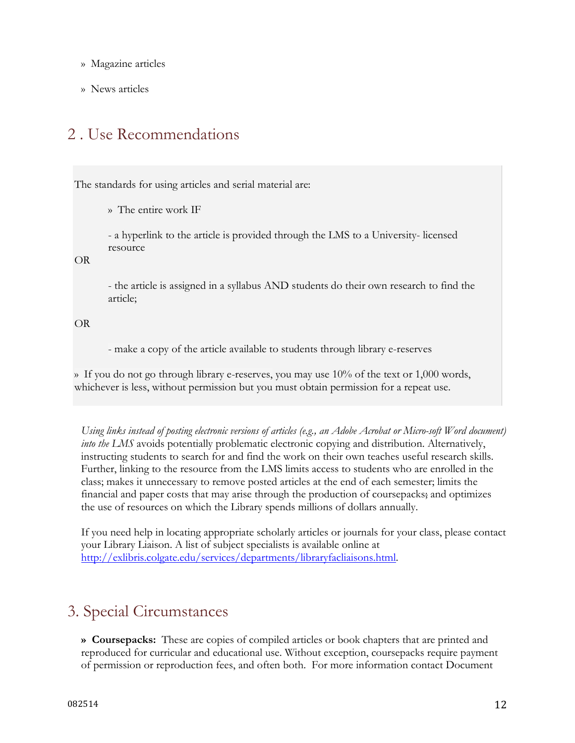- » Magazine articles
- » News articles

### 2 . Use Recommendations

The standards for using articles and serial material are:

» The entire work IF

- a hyperlink to the article is provided through the LMS to a University- licensed resource

OR

- the article is assigned in a syllabus AND students do their own research to find the article;

OR

- make a copy of the article available to students through library e-reserves

» If you do not go through library e-reserves, you may use  $10\%$  of the text or 1,000 words, whichever is less, without permission but you must obtain permission for a repeat use.

*Using links instead of posting electronic versions of articles (e.g., an Adobe Acrobat or Micro-soft Word document) into the LMS* avoids potentially problematic electronic copying and distribution. Alternatively, instructing students to search for and find the work on their own teaches useful research skills. Further, linking to the resource from the LMS limits access to students who are enrolled in the class; makes it unnecessary to remove posted articles at the end of each semester; limits the financial and paper costs that may arise through the production of coursepacks; and optimizes the use of resources on which the Library spends millions of dollars annually.

If you need help in locating appropriate scholarly articles or journals for your class, please contact your Library Liaison. A list of subject specialists is available online at http://exlibris.colgate.edu/services/departments/libraryfacliaisons.html.

### 3. Special Circumstances

**» Coursepacks:** These are copies of compiled articles or book chapters that are printed and reproduced for curricular and educational use. Without exception, coursepacks require payment of permission or reproduction fees, and often both. For more information contact Document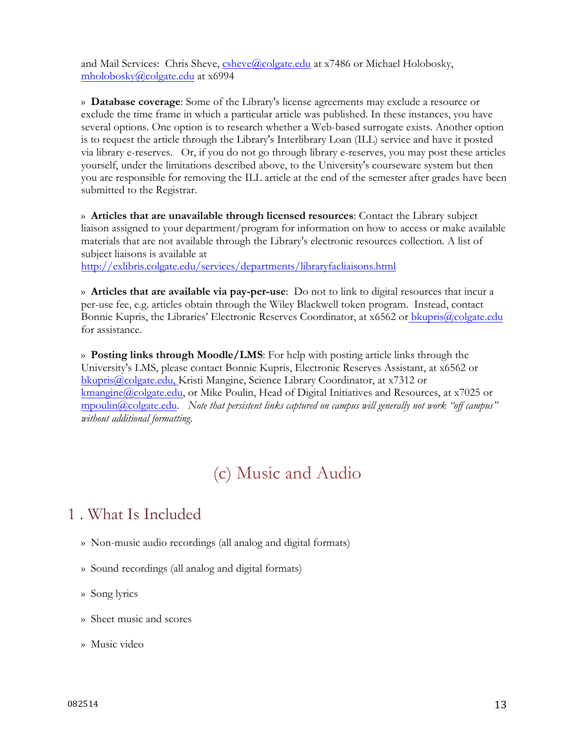and Mail Services: Chris Sheve, csheve@colgate.edu at x7486 or Michael Holobosky, mholobosky@colgate.edu at x6994

» **Database coverage**: Some of the Library's license agreements may exclude a resource or exclude the time frame in which a particular article was published. In these instances, you have several options. One option is to research whether a Web-based surrogate exists. Another option is to request the article through the Library's Interlibrary Loan (ILL) service and have it posted via library e-reserves. Or, if you do not go through library e-reserves, you may post these articles yourself, under the limitations described above, to the University's courseware system but then you are responsible for removing the ILL article at the end of the semester after grades have been submitted to the Registrar.

» **Articles that are unavailable through licensed resources**: Contact the Library subject liaison assigned to your department/program for information on how to access or make available materials that are not available through the Library's electronic resources collection. A list of subject liaisons is available at

http://exlibris.colgate.edu/services/departments/libraryfacliaisons.html

» **Articles that are available via pay-per-use**: Do not to link to digital resources that incur a per-use fee, e.g. articles obtain through the Wiley Blackwell token program. Instead, contact Bonnie Kupris, the Libraries' Electronic Reserves Coordinator, at x6562 or bkupris@colgate.edu for assistance.

» **Posting links through Moodle/LMS**: For help with posting article links through the University's LMS, please contact Bonnie Kupris, Electronic Reserves Assistant, at x6562 or bkupris@colgate.edu, Kristi Mangine, Science Library Coordinator, at x7312 or kmangine@colgate.edu, or Mike Poulin, Head of Digital Initiatives and Resources, at x7025 or mpoulin@colgate.edu. *Note that persistent links captured on campus will generally not work "off campus" without additional formatting*.

# (c) Music and Audio

### 1 . What Is Included

- » Non-music audio recordings (all analog and digital formats)
- » Sound recordings (all analog and digital formats)
- » Song lyrics
- » Sheet music and scores
- » Music video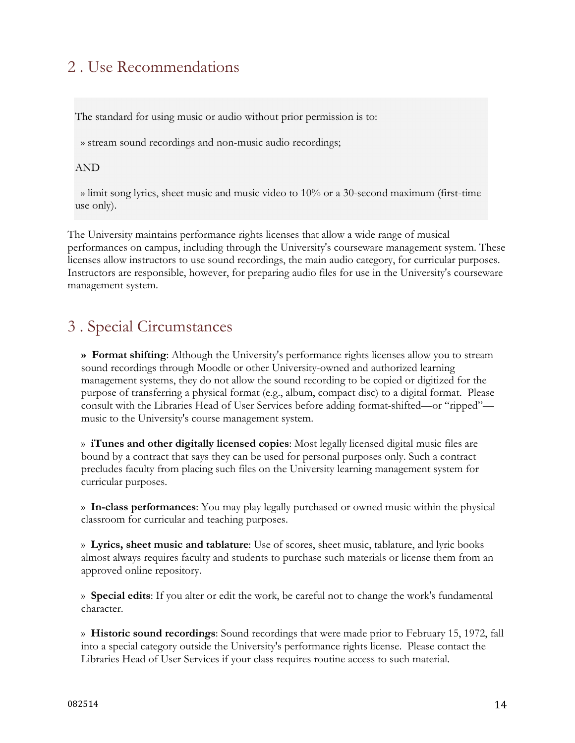### 2 . Use Recommendations

The standard for using music or audio without prior permission is to:

» stream sound recordings and non-music audio recordings;

#### AND

 » limit song lyrics, sheet music and music video to 10% or a 30-second maximum (first-time use only).

The University maintains performance rights licenses that allow a wide range of musical performances on campus, including through the University's courseware management system. These licenses allow instructors to use sound recordings, the main audio category, for curricular purposes. Instructors are responsible, however, for preparing audio files for use in the University's courseware management system.

### 3 . Special Circumstances

**» Format shifting**: Although the University's performance rights licenses allow you to stream sound recordings through Moodle or other University-owned and authorized learning management systems, they do not allow the sound recording to be copied or digitized for the purpose of transferring a physical format (e.g., album, compact disc) to a digital format. Please consult with the Libraries Head of User Services before adding format-shifted—or "ripped" music to the University's course management system.

» **iTunes and other digitally licensed copies**: Most legally licensed digital music files are bound by a contract that says they can be used for personal purposes only. Such a contract precludes faculty from placing such files on the University learning management system for curricular purposes.

» **In-class performances**: You may play legally purchased or owned music within the physical classroom for curricular and teaching purposes.

» **Lyrics, sheet music and tablature**: Use of scores, sheet music, tablature, and lyric books almost always requires faculty and students to purchase such materials or license them from an approved online repository.

» **Special edits**: If you alter or edit the work, be careful not to change the work's fundamental character.

» **Historic sound recordings**: Sound recordings that were made prior to February 15, 1972, fall into a special category outside the University's performance rights license. Please contact the Libraries Head of User Services if your class requires routine access to such material.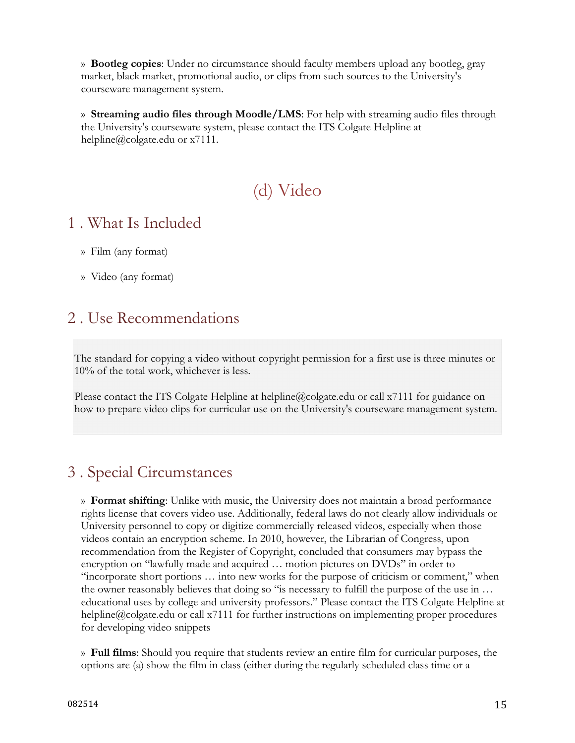» **Bootleg copies**: Under no circumstance should faculty members upload any bootleg, gray market, black market, promotional audio, or clips from such sources to the University's courseware management system.

» **Streaming audio files through Moodle/LMS**: For help with streaming audio files through the University's courseware system, please contact the ITS Colgate Helpline at helpline@colgate.edu or x7111.

# (d) Video

#### 1 . What Is Included

- » Film (any format)
- » Video (any format)

#### 2 . Use Recommendations

The standard for copying a video without copyright permission for a first use is three minutes or 10% of the total work, whichever is less.

Please contact the ITS Colgate Helpline at helpline@colgate.edu or call x7111 for guidance on how to prepare video clips for curricular use on the University's courseware management system.

### 3 . Special Circumstances

» **Format shifting**: Unlike with music, the University does not maintain a broad performance rights license that covers video use. Additionally, federal laws do not clearly allow individuals or University personnel to copy or digitize commercially released videos, especially when those videos contain an encryption scheme. In 2010, however, the Librarian of Congress, upon recommendation from the Register of Copyright, concluded that consumers may bypass the encryption on "lawfully made and acquired … motion pictures on DVDs" in order to "incorporate short portions … into new works for the purpose of criticism or comment," when the owner reasonably believes that doing so "is necessary to fulfill the purpose of the use in … educational uses by college and university professors." Please contact the ITS Colgate Helpline at helpline@colgate.edu or call x7111 for further instructions on implementing proper procedures for developing video snippets

» **Full films**: Should you require that students review an entire film for curricular purposes, the options are (a) show the film in class (either during the regularly scheduled class time or a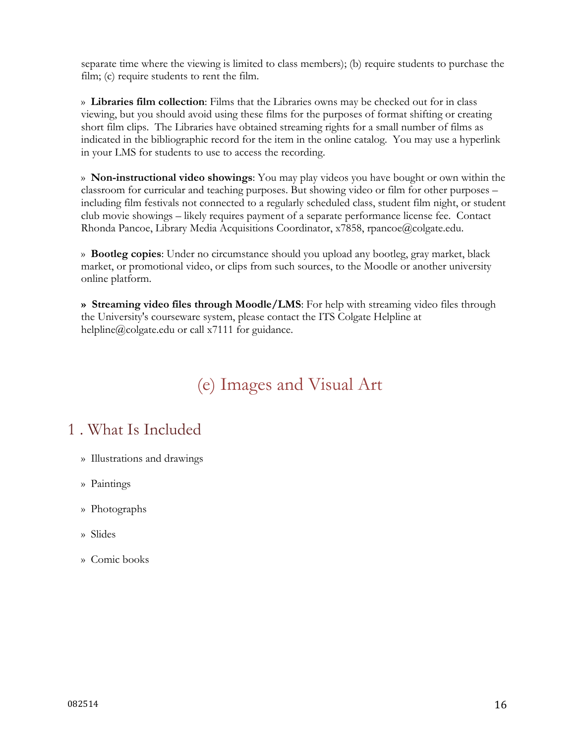separate time where the viewing is limited to class members); (b) require students to purchase the film; (c) require students to rent the film.

» **Libraries film collection**: Films that the Libraries owns may be checked out for in class viewing, but you should avoid using these films for the purposes of format shifting or creating short film clips. The Libraries have obtained streaming rights for a small number of films as indicated in the bibliographic record for the item in the online catalog. You may use a hyperlink in your LMS for students to use to access the recording.

» **Non-instructional video showings**: You may play videos you have bought or own within the classroom for curricular and teaching purposes. But showing video or film for other purposes – including film festivals not connected to a regularly scheduled class, student film night, or student club movie showings – likely requires payment of a separate performance license fee. Contact Rhonda Pancoe, Library Media Acquisitions Coordinator, x7858, rpancoe@colgate.edu.

» **Bootleg copies**: Under no circumstance should you upload any bootleg, gray market, black market, or promotional video, or clips from such sources, to the Moodle or another university online platform.

**» Streaming video files through Moodle/LMS**: For help with streaming video files through the University's courseware system, please contact the ITS Colgate Helpline at helpline@colgate.edu or call x7111 for guidance.

# (e) Images and Visual Art

#### 1 . What Is Included

- » Illustrations and drawings
- » Paintings
- » Photographs
- » Slides
- » Comic books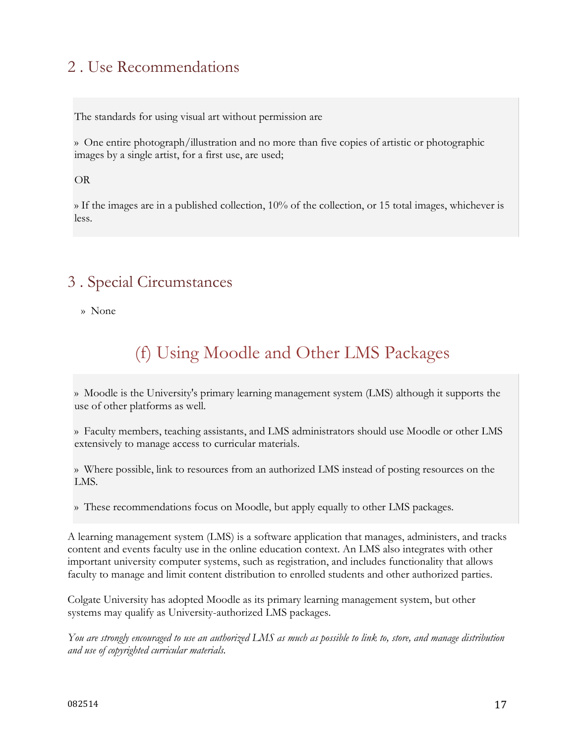# 2 . Use Recommendations

The standards for using visual art without permission are

» One entire photograph/illustration and no more than five copies of artistic or photographic images by a single artist, for a first use, are used;

OR

» If the images are in a published collection, 10% of the collection, or 15 total images, whichever is less.

### 3 . Special Circumstances

» None

# (f) Using Moodle and Other LMS Packages

» Moodle is the University's primary learning management system (LMS) although it supports the use of other platforms as well.

» Faculty members, teaching assistants, and LMS administrators should use Moodle or other LMS extensively to manage access to curricular materials.

» Where possible, link to resources from an authorized LMS instead of posting resources on the LMS.

» These recommendations focus on Moodle, but apply equally to other LMS packages.

A learning management system (LMS) is a software application that manages, administers, and tracks content and events faculty use in the online education context. An LMS also integrates with other important university computer systems, such as registration, and includes functionality that allows faculty to manage and limit content distribution to enrolled students and other authorized parties.

Colgate University has adopted Moodle as its primary learning management system, but other systems may qualify as University-authorized LMS packages.

*You are strongly encouraged to use an authorized LMS as much as possible to link to, store, and manage distribution and use of copyrighted curricular materials.*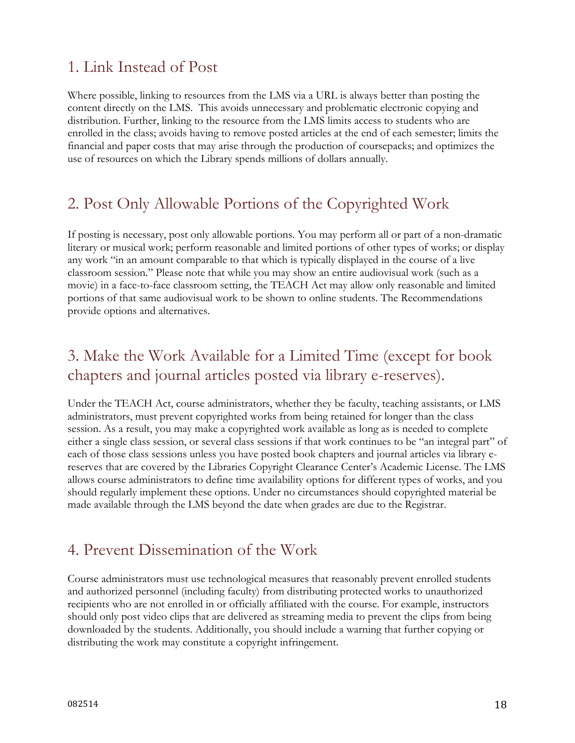#### 1. Link Instead of Post

Where possible, linking to resources from the LMS via a URL is always better than posting the content directly on the LMS. This avoids unnecessary and problematic electronic copying and distribution. Further, linking to the resource from the LMS limits access to students who are enrolled in the class; avoids having to remove posted articles at the end of each semester; limits the financial and paper costs that may arise through the production of coursepacks; and optimizes the use of resources on which the Library spends millions of dollars annually.

#### 2. Post Only Allowable Portions of the Copyrighted Work

If posting is necessary, post only allowable portions. You may perform all or part of a non-dramatic literary or musical work; perform reasonable and limited portions of other types of works; or display any work "in an amount comparable to that which is typically displayed in the course of a live classroom session." Please note that while you may show an entire audiovisual work (such as a movie) in a face-to-face classroom setting, the TEACH Act may allow only reasonable and limited portions of that same audiovisual work to be shown to online students. The Recommendations provide options and alternatives.

#### 3. Make the Work Available for a Limited Time (except for book chapters and journal articles posted via library e-reserves).

Under the TEACH Act, course administrators, whether they be faculty, teaching assistants, or LMS administrators, must prevent copyrighted works from being retained for longer than the class session. As a result, you may make a copyrighted work available as long as is needed to complete either a single class session, or several class sessions if that work continues to be "an integral part" of each of those class sessions unless you have posted book chapters and journal articles via library ereserves that are covered by the Libraries Copyright Clearance Center's Academic License. The LMS allows course administrators to define time availability options for different types of works, and you should regularly implement these options. Under no circumstances should copyrighted material be made available through the LMS beyond the date when grades are due to the Registrar.

#### 4. Prevent Dissemination of the Work

Course administrators must use technological measures that reasonably prevent enrolled students and authorized personnel (including faculty) from distributing protected works to unauthorized recipients who are not enrolled in or officially affiliated with the course. For example, instructors should only post video clips that are delivered as streaming media to prevent the clips from being downloaded by the students. Additionally, you should include a warning that further copying or distributing the work may constitute a copyright infringement.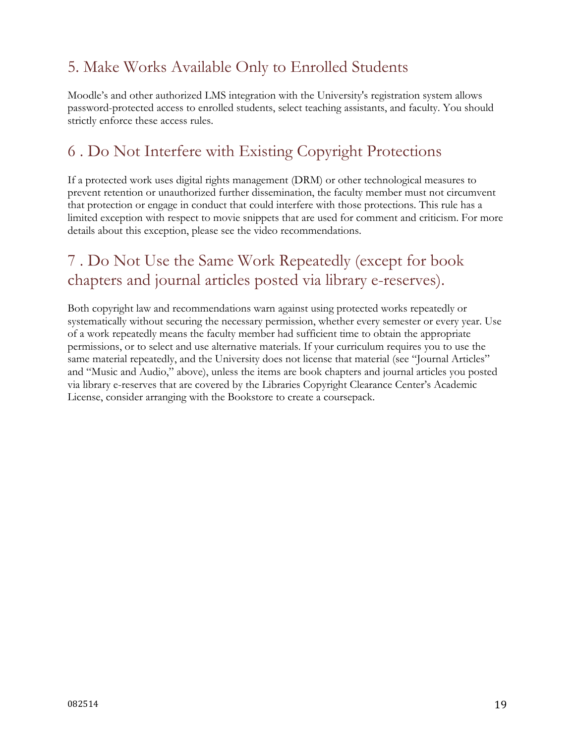### 5. Make Works Available Only to Enrolled Students

Moodle's and other authorized LMS integration with the University's registration system allows password-protected access to enrolled students, select teaching assistants, and faculty. You should strictly enforce these access rules.

#### 6 . Do Not Interfere with Existing Copyright Protections

If a protected work uses digital rights management (DRM) or other technological measures to prevent retention or unauthorized further dissemination, the faculty member must not circumvent that protection or engage in conduct that could interfere with those protections. This rule has a limited exception with respect to movie snippets that are used for comment and criticism. For more details about this exception, please see the video recommendations.

### 7 . Do Not Use the Same Work Repeatedly (except for book chapters and journal articles posted via library e-reserves).

Both copyright law and recommendations warn against using protected works repeatedly or systematically without securing the necessary permission, whether every semester or every year. Use of a work repeatedly means the faculty member had sufficient time to obtain the appropriate permissions, or to select and use alternative materials. If your curriculum requires you to use the same material repeatedly, and the University does not license that material (see "Journal Articles" and "Music and Audio," above), unless the items are book chapters and journal articles you posted via library e-reserves that are covered by the Libraries Copyright Clearance Center's Academic License, consider arranging with the Bookstore to create a coursepack.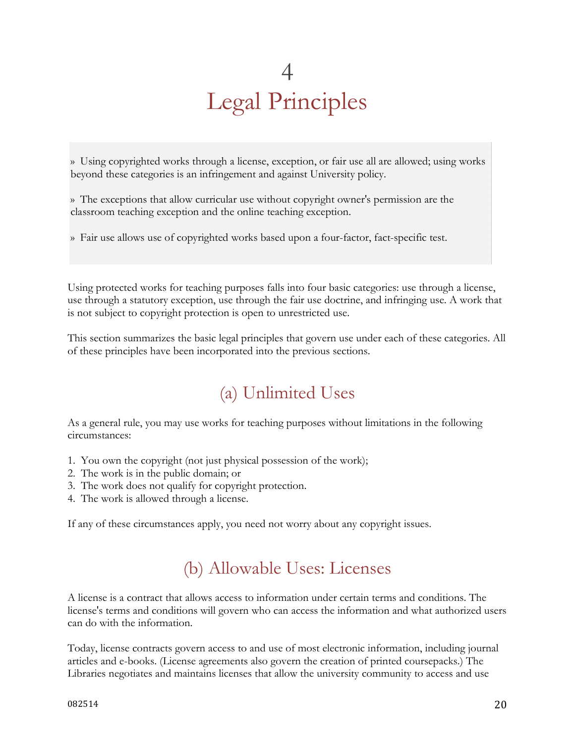# 4 Legal Principles

» Using copyrighted works through a license, exception, or fair use all are allowed; using works beyond these categories is an infringement and against University policy.

» The exceptions that allow curricular use without copyright owner's permission are the classroom teaching exception and the online teaching exception.

» Fair use allows use of copyrighted works based upon a four-factor, fact-specific test.

Using protected works for teaching purposes falls into four basic categories: use through a license, use through a statutory exception, use through the fair use doctrine, and infringing use. A work that is not subject to copyright protection is open to unrestricted use.

This section summarizes the basic legal principles that govern use under each of these categories. All of these principles have been incorporated into the previous sections.

# (a) Unlimited Uses

As a general rule, you may use works for teaching purposes without limitations in the following circumstances:

- 1. You own the copyright (not just physical possession of the work);
- 2. The work is in the public domain; or
- 3. The work does not qualify for copyright protection.
- 4. The work is allowed through a license.

If any of these circumstances apply, you need not worry about any copyright issues.

# (b) Allowable Uses: Licenses

A license is a contract that allows access to information under certain terms and conditions. The license's terms and conditions will govern who can access the information and what authorized users can do with the information.

Today, license contracts govern access to and use of most electronic information, including journal articles and e-books. (License agreements also govern the creation of printed coursepacks.) The Libraries negotiates and maintains licenses that allow the university community to access and use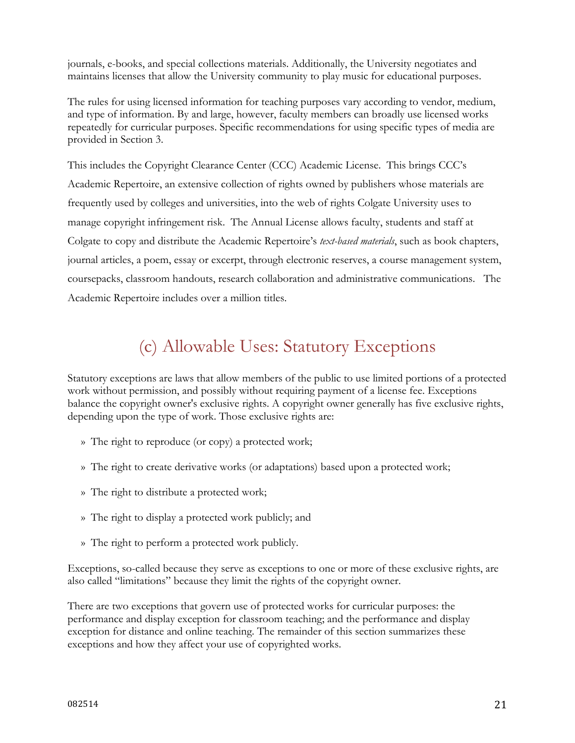journals, e-books, and special collections materials. Additionally, the University negotiates and maintains licenses that allow the University community to play music for educational purposes.

The rules for using licensed information for teaching purposes vary according to vendor, medium, and type of information. By and large, however, faculty members can broadly use licensed works repeatedly for curricular purposes. Specific recommendations for using specific types of media are provided in Section 3.

This includes the Copyright Clearance Center (CCC) Academic License. This brings CCC's Academic Repertoire, an extensive collection of rights owned by publishers whose materials are frequently used by colleges and universities, into the web of rights Colgate University uses to manage copyright infringement risk. The Annual License allows faculty, students and staff at Colgate to copy and distribute the Academic Repertoire's *text-based materials*, such as book chapters, journal articles, a poem, essay or excerpt, through electronic reserves, a course management system, coursepacks, classroom handouts, research collaboration and administrative communications. The Academic Repertoire includes over a million titles.

# (c) Allowable Uses: Statutory Exceptions

Statutory exceptions are laws that allow members of the public to use limited portions of a protected work without permission, and possibly without requiring payment of a license fee. Exceptions balance the copyright owner's exclusive rights. A copyright owner generally has five exclusive rights, depending upon the type of work. Those exclusive rights are:

- » The right to reproduce (or copy) a protected work;
- » The right to create derivative works (or adaptations) based upon a protected work;
- » The right to distribute a protected work;
- » The right to display a protected work publicly; and
- » The right to perform a protected work publicly.

Exceptions, so-called because they serve as exceptions to one or more of these exclusive rights, are also called "limitations" because they limit the rights of the copyright owner.

There are two exceptions that govern use of protected works for curricular purposes: the performance and display exception for classroom teaching; and the performance and display exception for distance and online teaching. The remainder of this section summarizes these exceptions and how they affect your use of copyrighted works.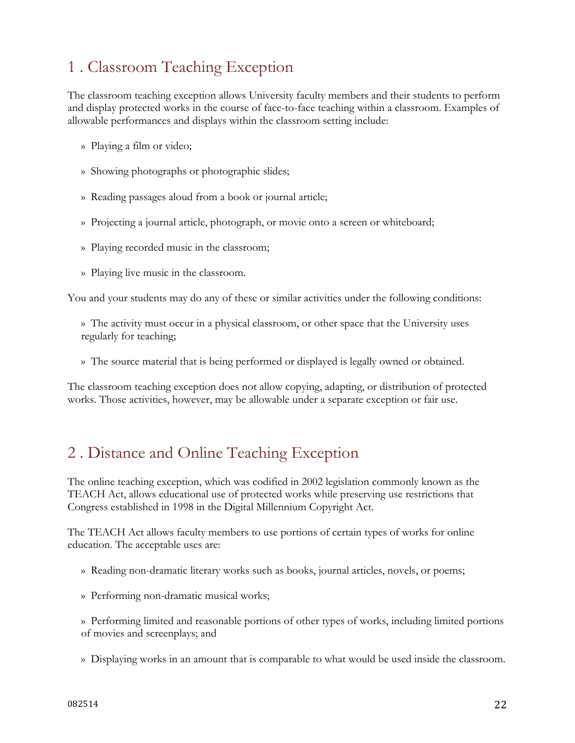### 1 . Classroom Teaching Exception

The classroom teaching exception allows University faculty members and their students to perform and display protected works in the course of face-to-face teaching within a classroom. Examples of allowable performances and displays within the classroom setting include:

- » Playing a film or video;
- » Showing photographs or photographic slides;
- » Reading passages aloud from a book or journal article;
- » Projecting a journal article, photograph, or movie onto a screen or whiteboard;
- » Playing recorded music in the classroom;
- » Playing live music in the classroom.

You and your students may do any of these or similar activities under the following conditions:

» The activity must occur in a physical classroom, or other space that the University uses regularly for teaching;

» The source material that is being performed or displayed is legally owned or obtained.

The classroom teaching exception does not allow copying, adapting, or distribution of protected works. Those activities, however, may be allowable under a separate exception or fair use.

#### 2 . Distance and Online Teaching Exception

The online teaching exception, which was codified in 2002 legislation commonly known as the TEACH Act, allows educational use of protected works while preserving use restrictions that Congress established in 1998 in the Digital Millennium Copyright Act.

The TEACH Act allows faculty members to use portions of certain types of works for online education. The acceptable uses are:

- » Reading non-dramatic literary works such as books, journal articles, novels, or poems;
- » Performing non-dramatic musical works;

» Performing limited and reasonable portions of other types of works, including limited portions of movies and screenplays; and

» Displaying works in an amount that is comparable to what would be used inside the classroom.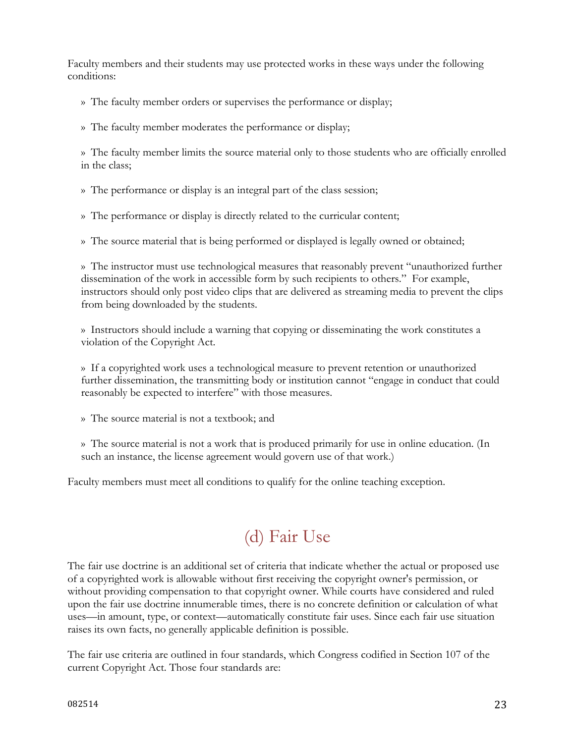Faculty members and their students may use protected works in these ways under the following conditions:

» The faculty member orders or supervises the performance or display;

» The faculty member moderates the performance or display;

» The faculty member limits the source material only to those students who are officially enrolled in the class;

» The performance or display is an integral part of the class session;

» The performance or display is directly related to the curricular content;

» The source material that is being performed or displayed is legally owned or obtained;

» The instructor must use technological measures that reasonably prevent "unauthorized further dissemination of the work in accessible form by such recipients to others." For example, instructors should only post video clips that are delivered as streaming media to prevent the clips from being downloaded by the students.

» Instructors should include a warning that copying or disseminating the work constitutes a violation of the Copyright Act.

» If a copyrighted work uses a technological measure to prevent retention or unauthorized further dissemination, the transmitting body or institution cannot "engage in conduct that could reasonably be expected to interfere" with those measures.

» The source material is not a textbook; and

» The source material is not a work that is produced primarily for use in online education. (In such an instance, the license agreement would govern use of that work.)

Faculty members must meet all conditions to qualify for the online teaching exception.

# (d) Fair Use

The fair use doctrine is an additional set of criteria that indicate whether the actual or proposed use of a copyrighted work is allowable without first receiving the copyright owner's permission, or without providing compensation to that copyright owner. While courts have considered and ruled upon the fair use doctrine innumerable times, there is no concrete definition or calculation of what uses—in amount, type, or context—automatically constitute fair uses. Since each fair use situation raises its own facts, no generally applicable definition is possible.

The fair use criteria are outlined in four standards, which Congress codified in Section 107 of the current Copyright Act. Those four standards are: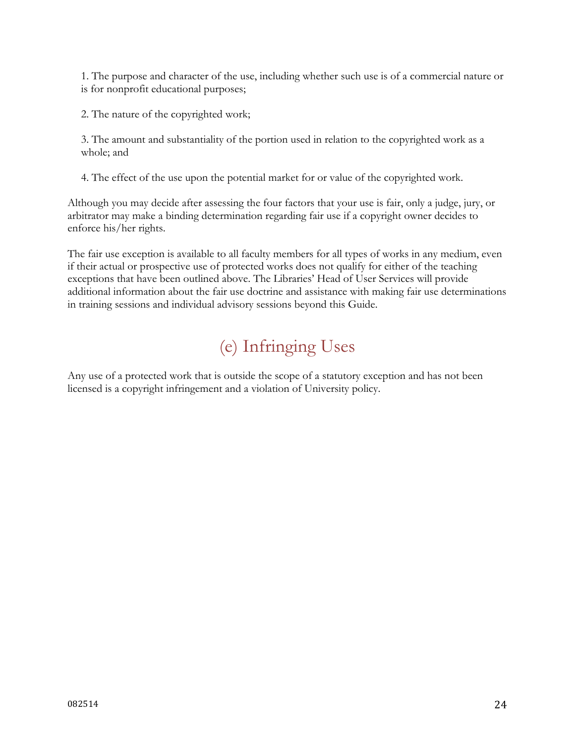1. The purpose and character of the use, including whether such use is of a commercial nature or is for nonprofit educational purposes;

2. The nature of the copyrighted work;

3. The amount and substantiality of the portion used in relation to the copyrighted work as a whole; and

4. The effect of the use upon the potential market for or value of the copyrighted work.

Although you may decide after assessing the four factors that your use is fair, only a judge, jury, or arbitrator may make a binding determination regarding fair use if a copyright owner decides to enforce his/her rights.

The fair use exception is available to all faculty members for all types of works in any medium, even if their actual or prospective use of protected works does not qualify for either of the teaching exceptions that have been outlined above. The Libraries' Head of User Services will provide additional information about the fair use doctrine and assistance with making fair use determinations in training sessions and individual advisory sessions beyond this Guide.

# (e) Infringing Uses

Any use of a protected work that is outside the scope of a statutory exception and has not been licensed is a copyright infringement and a violation of University policy.